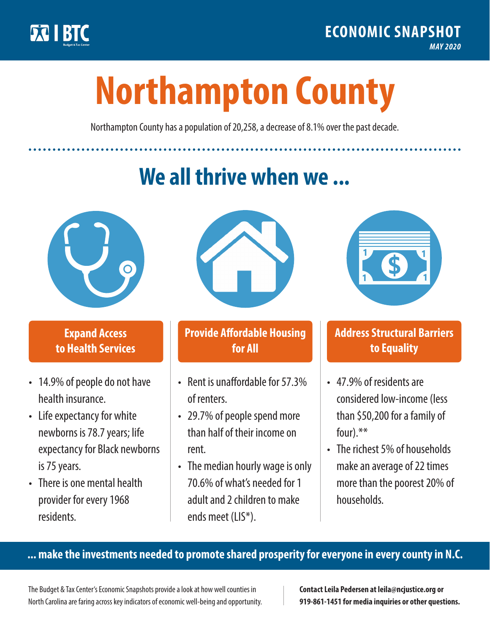

**1**

# **Northampton County**

Northampton County has a population of 20,258, a decrease of 8.1% over the past decade.

# **We all thrive when we ...**



**\$ <sup>1</sup>**

**\$ <sup>1</sup>**

## **Expand Access to Health Services**

- 14.9% of people do not have health insurance.
- Life expectancy for white newborns is 78.7years; life expectancy for Black newborns is 75 years.
- There is one mental health provider for every 1968 residents.



## **Provide Affordable Housing for All**

- Rent is unaffordable for 57.3% of renters.
- 29.7% of people spend more than half of their income on rent.
- The median hourly wage is only 70.6% of what's needed for 1 adult and 2 children to make ends meet (LIS\*).



## **Address Structural Barriers to Equality**

- 47.9% of residents are considered low-income (less than \$50,200 for a family of four).\*\*
- The richest 5% of households make an average of 22 times more than the poorest 20% of households.

#### **... make the investments needed to promote shared prosperity for everyone in every county in N.C.**

The Budget & Tax Center's Economic Snapshots provide a look at how well counties in North Carolina are faring across key indicators of economic well-being and opportunity.